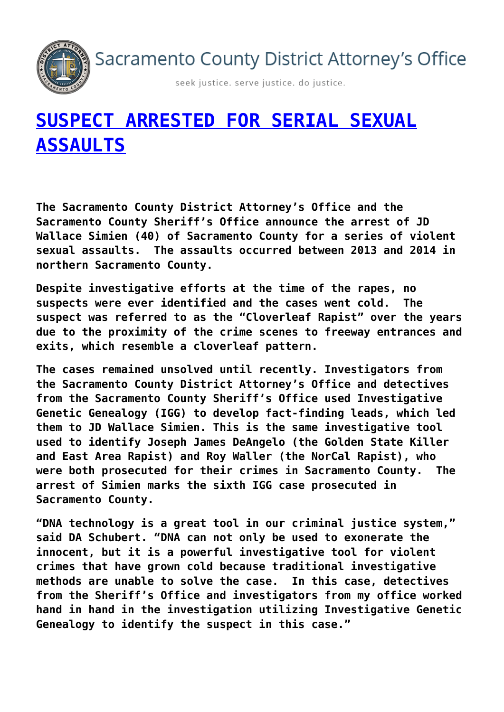Sacramento County District Attorney's Office



seek justice. serve justice. do justice.

## **[SUSPECT ARRESTED FOR SERIAL SEXUAL](https://www.sacda.org/2021/11/suspect-arrested-for-serial-sexual-assaults/) [ASSAULTS](https://www.sacda.org/2021/11/suspect-arrested-for-serial-sexual-assaults/)**

**The Sacramento County District Attorney's Office and the Sacramento County Sheriff's Office announce the arrest of JD Wallace Simien (40) of Sacramento County for a series of violent sexual assaults. The assaults occurred between 2013 and 2014 in northern Sacramento County.**

**Despite investigative efforts at the time of the rapes, no suspects were ever identified and the cases went cold. The suspect was referred to as the "Cloverleaf Rapist" over the years due to the proximity of the crime scenes to freeway entrances and exits, which resemble a cloverleaf pattern.**

**The cases remained unsolved until recently. Investigators from the Sacramento County District Attorney's Office and detectives from the Sacramento County Sheriff's Office used Investigative Genetic Genealogy (IGG) to develop fact-finding leads, which led them to JD Wallace Simien. This is the same investigative tool used to identify Joseph James DeAngelo (the Golden State Killer and East Area Rapist) and Roy Waller (the NorCal Rapist), who were both prosecuted for their crimes in Sacramento County. The arrest of Simien marks the sixth IGG case prosecuted in Sacramento County.**

**"DNA technology is a great tool in our criminal justice system," said DA Schubert. "DNA can not only be used to exonerate the innocent, but it is a powerful investigative tool for violent crimes that have grown cold because traditional investigative methods are unable to solve the case. In this case, detectives from the Sheriff's Office and investigators from my office worked hand in hand in the investigation utilizing Investigative Genetic Genealogy to identify the suspect in this case."**